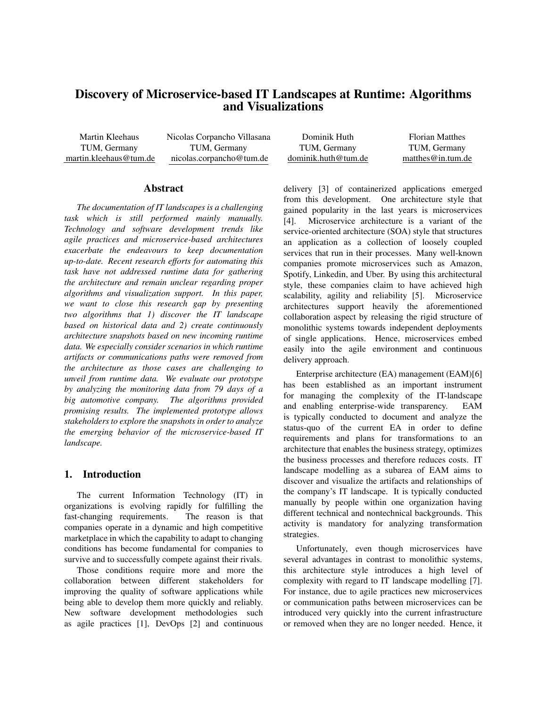# Discovery of Microservice-based IT Landscapes at Runtime: Algorithms and Visualizations

Martin Kleehaus TUM, Germany martin.kleehaus@tum.de

Nicolas Corpancho Villasana TUM, Germany nicolas.corpancho@tum.de

### Abstract

*The documentation of IT landscapes is a challenging task which is still performed mainly manually. Technology and software development trends like agile practices and microservice-based architectures exacerbate the endeavours to keep documentation up-to-date. Recent research efforts for automating this task have not addressed runtime data for gathering the architecture and remain unclear regarding proper algorithms and visualization support. In this paper, we want to close this research gap by presenting two algorithms that 1) discover the IT landscape based on historical data and 2) create continuously architecture snapshots based on new incoming runtime data. We especially consider scenarios in which runtime artifacts or communications paths were removed from the architecture as those cases are challenging to unveil from runtime data. We evaluate our prototype by analyzing the monitoring data from 79 days of a big automotive company. The algorithms provided promising results. The implemented prototype allows stakeholders to explore the snapshots in order to analyze the emerging behavior of the microservice-based IT landscape.*

# 1. Introduction

The current Information Technology (IT) in organizations is evolving rapidly for fulfilling the fast-changing requirements. The reason is that companies operate in a dynamic and high competitive marketplace in which the capability to adapt to changing conditions has become fundamental for companies to survive and to successfully compete against their rivals.

Those conditions require more and more the collaboration between different stakeholders for improving the quality of software applications while being able to develop them more quickly and reliably. New software development methodologies such as agile practices [1], DevOps [2] and continuous

| Dominik Huth        | <b>Florian Matthes</b> |
|---------------------|------------------------|
| TUM, Germany        | TUM, Germany           |
| dominik.huth@tum.de | matthes $@$ in tum.de  |

delivery [3] of containerized applications emerged from this development. One architecture style that gained popularity in the last years is microservices [4]. Microservice architecture is a variant of the service-oriented architecture (SOA) style that structures an application as a collection of loosely coupled services that run in their processes. Many well-known companies promote microservices such as Amazon, Spotify, Linkedin, and Uber. By using this architectural style, these companies claim to have achieved high scalability, agility and reliability [5]. Microservice architectures support heavily the aforementioned collaboration aspect by releasing the rigid structure of monolithic systems towards independent deployments of single applications. Hence, microservices embed easily into the agile environment and continuous delivery approach.

Enterprise architecture (EA) management (EAM)[6] has been established as an important instrument for managing the complexity of the IT-landscape and enabling enterprise-wide transparency. EAM is typically conducted to document and analyze the status-quo of the current EA in order to define requirements and plans for transformations to an architecture that enables the business strategy, optimizes the business processes and therefore reduces costs. IT landscape modelling as a subarea of EAM aims to discover and visualize the artifacts and relationships of the company's IT landscape. It is typically conducted manually by people within one organization having different technical and nontechnical backgrounds. This activity is mandatory for analyzing transformation strategies.

Unfortunately, even though microservices have several advantages in contrast to monolithic systems, this architecture style introduces a high level of complexity with regard to IT landscape modelling [7]. For instance, due to agile practices new microservices or communication paths between microservices can be introduced very quickly into the current infrastructure or removed when they are no longer needed. Hence, it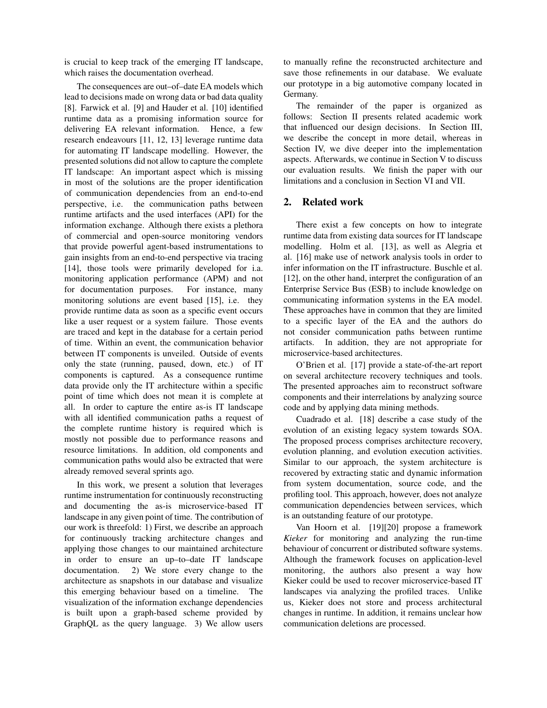is crucial to keep track of the emerging IT landscape, which raises the documentation overhead.

The consequences are out–of–date EA models which lead to decisions made on wrong data or bad data quality [8]. Farwick et al. [9] and Hauder et al. [10] identified runtime data as a promising information source for delivering EA relevant information. Hence, a few research endeavours [11, 12, 13] leverage runtime data for automating IT landscape modelling. However, the presented solutions did not allow to capture the complete IT landscape: An important aspect which is missing in most of the solutions are the proper identification of communication dependencies from an end-to-end perspective, i.e. the communication paths between runtime artifacts and the used interfaces (API) for the information exchange. Although there exists a plethora of commercial and open-source monitoring vendors that provide powerful agent-based instrumentations to gain insights from an end-to-end perspective via tracing [14], those tools were primarily developed for i.a. monitoring application performance (APM) and not for documentation purposes. For instance, many monitoring solutions are event based [15], i.e. they provide runtime data as soon as a specific event occurs like a user request or a system failure. Those events are traced and kept in the database for a certain period of time. Within an event, the communication behavior between IT components is unveiled. Outside of events only the state (running, paused, down, etc.) of IT components is captured. As a consequence runtime data provide only the IT architecture within a specific point of time which does not mean it is complete at all. In order to capture the entire as-is IT landscape with all identified communication paths a request of the complete runtime history is required which is mostly not possible due to performance reasons and resource limitations. In addition, old components and communication paths would also be extracted that were already removed several sprints ago.

In this work, we present a solution that leverages runtime instrumentation for continuously reconstructing and documenting the as-is microservice-based IT landscape in any given point of time. The contribution of our work is threefold: 1) First, we describe an approach for continuously tracking architecture changes and applying those changes to our maintained architecture in order to ensure an up–to–date IT landscape documentation. 2) We store every change to the architecture as snapshots in our database and visualize this emerging behaviour based on a timeline. The visualization of the information exchange dependencies is built upon a graph-based scheme provided by GraphQL as the query language. 3) We allow users

to manually refine the reconstructed architecture and save those refinements in our database. We evaluate our prototype in a big automotive company located in Germany.

The remainder of the paper is organized as follows: Section II presents related academic work that influenced our design decisions. In Section III, we describe the concept in more detail, whereas in Section IV, we dive deeper into the implementation aspects. Afterwards, we continue in Section V to discuss our evaluation results. We finish the paper with our limitations and a conclusion in Section VI and VII.

# 2. Related work

There exist a few concepts on how to integrate runtime data from existing data sources for IT landscape modelling. Holm et al. [13], as well as Alegria et al. [16] make use of network analysis tools in order to infer information on the IT infrastructure. Buschle et al. [12], on the other hand, interpret the configuration of an Enterprise Service Bus (ESB) to include knowledge on communicating information systems in the EA model. These approaches have in common that they are limited to a specific layer of the EA and the authors do not consider communication paths between runtime artifacts. In addition, they are not appropriate for microservice-based architectures.

O'Brien et al. [17] provide a state-of-the-art report on several architecture recovery techniques and tools. The presented approaches aim to reconstruct software components and their interrelations by analyzing source code and by applying data mining methods.

Cuadrado et al. [18] describe a case study of the evolution of an existing legacy system towards SOA. The proposed process comprises architecture recovery, evolution planning, and evolution execution activities. Similar to our approach, the system architecture is recovered by extracting static and dynamic information from system documentation, source code, and the profiling tool. This approach, however, does not analyze communication dependencies between services, which is an outstanding feature of our prototype.

Van Hoorn et al. [19][20] propose a framework *Kieker* for monitoring and analyzing the run-time behaviour of concurrent or distributed software systems. Although the framework focuses on application-level monitoring, the authors also present a way how Kieker could be used to recover microservice-based IT landscapes via analyzing the profiled traces. Unlike us, Kieker does not store and process architectural changes in runtime. In addition, it remains unclear how communication deletions are processed.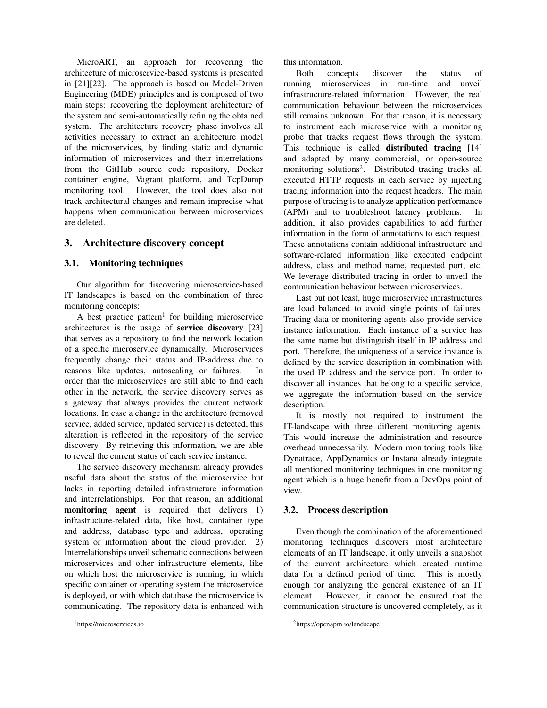MicroART, an approach for recovering the architecture of microservice-based systems is presented in [21][22]. The approach is based on Model-Driven Engineering (MDE) principles and is composed of two main steps: recovering the deployment architecture of the system and semi-automatically refining the obtained system. The architecture recovery phase involves all activities necessary to extract an architecture model of the microservices, by finding static and dynamic information of microservices and their interrelations from the GitHub source code repository, Docker container engine, Vagrant platform, and TcpDump monitoring tool. However, the tool does also not track architectural changes and remain imprecise what happens when communication between microservices are deleted.

# 3. Architecture discovery concept

### 3.1. Monitoring techniques

Our algorithm for discovering microservice-based IT landscapes is based on the combination of three monitoring concepts:

A best practice pattern<sup>1</sup> for building microservice architectures is the usage of service discovery [23] that serves as a repository to find the network location of a specific microservice dynamically. Microservices frequently change their status and IP-address due to reasons like updates, autoscaling or failures. order that the microservices are still able to find each other in the network, the service discovery serves as a gateway that always provides the current network locations. In case a change in the architecture (removed service, added service, updated service) is detected, this alteration is reflected in the repository of the service discovery. By retrieving this information, we are able to reveal the current status of each service instance.

The service discovery mechanism already provides useful data about the status of the microservice but lacks in reporting detailed infrastructure information and interrelationships. For that reason, an additional monitoring agent is required that delivers 1) infrastructure-related data, like host, container type and address, database type and address, operating system or information about the cloud provider. 2) Interrelationships unveil schematic connections between microservices and other infrastructure elements, like on which host the microservice is running, in which specific container or operating system the microservice is deployed, or with which database the microservice is communicating. The repository data is enhanced with

this information.

Both concepts discover the status of running microservices in run-time and unveil infrastructure-related information. However, the real communication behaviour between the microservices still remains unknown. For that reason, it is necessary to instrument each microservice with a monitoring probe that tracks request flows through the system. This technique is called **distributed tracing** [14] and adapted by many commercial, or open-source monitoring solutions<sup>2</sup>. Distributed tracing tracks all executed HTTP requests in each service by injecting tracing information into the request headers. The main purpose of tracing is to analyze application performance (APM) and to troubleshoot latency problems. In addition, it also provides capabilities to add further information in the form of annotations to each request. These annotations contain additional infrastructure and software-related information like executed endpoint address, class and method name, requested port, etc. We leverage distributed tracing in order to unveil the communication behaviour between microservices.

Last but not least, huge microservice infrastructures are load balanced to avoid single points of failures. Tracing data or monitoring agents also provide service instance information. Each instance of a service has the same name but distinguish itself in IP address and port. Therefore, the uniqueness of a service instance is defined by the service description in combination with the used IP address and the service port. In order to discover all instances that belong to a specific service, we aggregate the information based on the service description.

It is mostly not required to instrument the IT-landscape with three different monitoring agents. This would increase the administration and resource overhead unnecessarily. Modern monitoring tools like Dynatrace, AppDynamics or Instana already integrate all mentioned monitoring techniques in one monitoring agent which is a huge benefit from a DevOps point of view.

### 3.2. Process description

Even though the combination of the aforementioned monitoring techniques discovers most architecture elements of an IT landscape, it only unveils a snapshot of the current architecture which created runtime data for a defined period of time. This is mostly enough for analyzing the general existence of an IT element. However, it cannot be ensured that the communication structure is uncovered completely, as it

<sup>1</sup>https://microservices.io

<sup>2</sup>https://openapm.io/landscape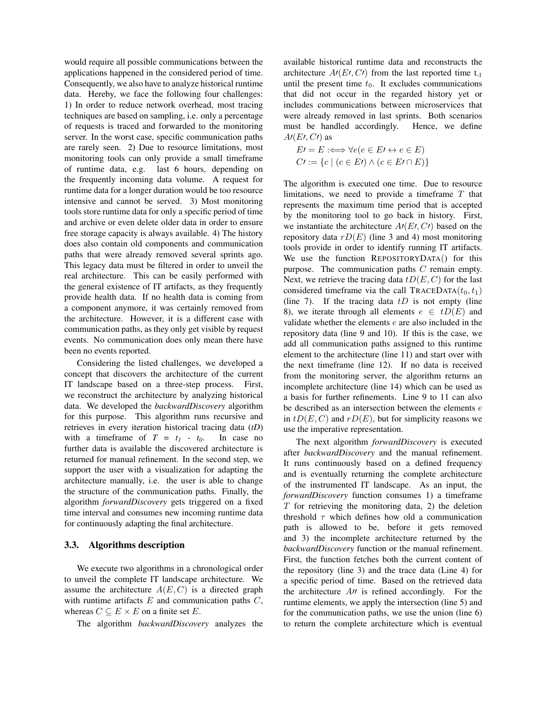would require all possible communications between the applications happened in the considered period of time. Consequently, we also have to analyze historical runtime data. Hereby, we face the following four challenges: 1) In order to reduce network overhead, most tracing techniques are based on sampling, i.e. only a percentage of requests is traced and forwarded to the monitoring server. In the worst case, specific communication paths are rarely seen. 2) Due to resource limitations, most monitoring tools can only provide a small timeframe of runtime data, e.g. last 6 hours, depending on the frequently incoming data volume. A request for runtime data for a longer duration would be too resource intensive and cannot be served. 3) Most monitoring tools store runtime data for only a specific period of time and archive or even delete older data in order to ensure free storage capacity is always available. 4) The history does also contain old components and communication paths that were already removed several sprints ago. This legacy data must be filtered in order to unveil the real architecture. This can be easily performed with the general existence of IT artifacts, as they frequently provide health data. If no health data is coming from a component anymore, it was certainly removed from the architecture. However, it is a different case with communication paths, as they only get visible by request events. No communication does only mean there have been no events reported.

Considering the listed challenges, we developed a concept that discovers the architecture of the current IT landscape based on a three-step process. First, we reconstruct the architecture by analyzing historical data. We developed the *backwardDiscovery* algorithm for this purpose. This algorithm runs recursive and retrieves in every iteration historical tracing data (*tD*) with a timeframe of  $T = t_1 - t_0$ . In case no further data is available the discovered architecture is returned for manual refinement. In the second step, we support the user with a visualization for adapting the architecture manually, i.e. the user is able to change the structure of the communication paths. Finally, the algorithm *forwardDiscovery* gets triggered on a fixed time interval and consumes new incoming runtime data for continuously adapting the final architecture.

### 3.3. Algorithms description

We execute two algorithms in a chronological order to unveil the complete IT landscape architecture. We assume the architecture  $A(E, C)$  is a directed graph with runtime artifacts  $E$  and communication paths  $C$ , whereas  $C \subseteq E \times E$  on a finite set E.

The algorithm *backwardDiscovery* analyzes the

available historical runtime data and reconstructs the architecture  $A(EU, CV)$  from the last reported time t<sub>-1</sub> until the present time  $t_0$ . It excludes communications that did not occur in the regarded history yet or includes communications between microservices that were already removed in last sprints. Both scenarios must be handled accordingly. Hence, we define  $A(EV, CV)$  as

$$
E \to E \iff \forall e (e \in E \land e \in E)
$$
  

$$
C \to \{c \mid (c \in E \land c \in E \land E)\}
$$

The algorithm is executed one time. Due to resource limitations, we need to provide a timeframe  $T$  that represents the maximum time period that is accepted by the monitoring tool to go back in history. First, we instantiate the architecture  $A(EU, CV)$  based on the repository data  $rD(E)$  (line 3 and 4) most monitoring tools provide in order to identify running IT artifacts. We use the function REPOSITORYDATA() for this purpose. The communication paths C remain empty. Next, we retrieve the tracing data  $tD(E, C)$  for the last considered timeframe via the call  $\text{TRACEDATA}(t_0, t_1)$ (line 7). If the tracing data  $tD$  is not empty (line 8), we iterate through all elements  $e \in tD(E)$  and validate whether the elements e are also included in the repository data (line 9 and 10). If this is the case, we add all communication paths assigned to this runtime element to the architecture (line 11) and start over with the next timeframe (line 12). If no data is received from the monitoring server, the algorithm returns an incomplete architecture (line 14) which can be used as a basis for further refinements. Line 9 to 11 can also be described as an intersection between the elements e in  $tD(E, C)$  and  $rD(E)$ , but for simplicity reasons we use the imperative representation.

The next algorithm *forwardDiscovery* is executed after *backwardDiscovery* and the manual refinement. It runs continuously based on a defined frequency and is eventually returning the complete architecture of the instrumented IT landscape. As an input, the *forwardDiscovery* function consumes 1) a timeframe  $T$  for retrieving the monitoring data, 2) the deletion threshold  $\tau$  which defines how old a communication path is allowed to be, before it gets removed and 3) the incomplete architecture returned by the *backwardDiscovery* function or the manual refinement. First, the function fetches both the current content of the repository (line 3) and the trace data (Line 4) for a specific period of time. Based on the retrieved data the architecture  $A_{\ell}$  is refined accordingly. For the runtime elements, we apply the intersection (line 5) and for the communication paths, we use the union (line 6) to return the complete architecture which is eventual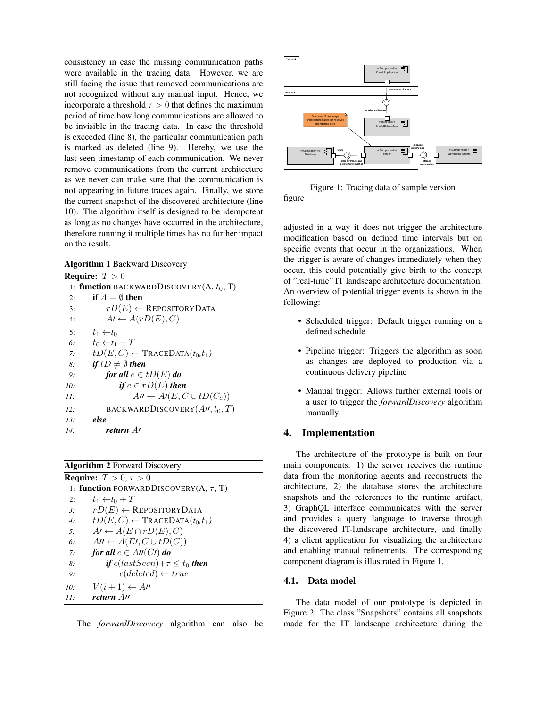consistency in case the missing communication paths were available in the tracing data. However, we are still facing the issue that removed communications are not recognized without any manual input. Hence, we incorporate a threshold  $\tau > 0$  that defines the maximum period of time how long communications are allowed to be invisible in the tracing data. In case the threshold is exceeded (line 8), the particular communication path is marked as deleted (line 9). Hereby, we use the last seen timestamp of each communication. We never remove communications from the current architecture as we never can make sure that the communication is not appearing in future traces again. Finally, we store the current snapshot of the discovered architecture (line 10). The algorithm itself is designed to be idempotent as long as no changes have occurred in the architecture, therefore running it multiple times has no further impact on the result.

| <b>Algorithm 1 Backward Discovery</b> |                                                  |
|---------------------------------------|--------------------------------------------------|
|                                       | <b>Require:</b> $T > 0$                          |
|                                       | 1: function BACKWARDDISCOVERY(A, $t_0$ , T)      |
| 2:                                    | if $A = \emptyset$ then                          |
| 3:                                    | $rD(E) \leftarrow$ REPOSITORYDATA                |
| 4:                                    | $A\prime \leftarrow A(rD(E), C)$                 |
| 5:                                    | $t_1 \leftarrow t_0$                             |
| 6:                                    | $t_0 \leftarrow t_1 - T$                         |
| 7:                                    | $tD(E, C) \leftarrow \text{TRACEDATA}(t_0, t_1)$ |
| 8:                                    | if $tD \neq \emptyset$ then                      |
| 9:                                    | for all $e \in tD(E)$ do                         |
| 10:                                   | if $e \in rD(E)$ then                            |
| 11:                                   | $A'' \leftarrow A'(E, C \cup tD(C_e))$           |
| 12:                                   | BACKWARDDISCOVERY $(A, t_0, T)$                  |
| 13:                                   | else                                             |
| 14:                                   | return At                                        |

#### Algorithm 2 Forward Discovery

| <b>Require:</b> $T > 0, \tau > 0$ |                                                  |  |
|-----------------------------------|--------------------------------------------------|--|
|                                   | 1: function FORWARDDISCOVERY(A, $\tau$ , T)      |  |
| 2:                                | $t_1 \leftarrow t_0 + T$                         |  |
| $\beta$ :                         | $rD(E) \leftarrow$ REPOSITORY DATA               |  |
| 4:                                | $tD(E, C) \leftarrow \text{TRACEDATA}(t_0, t_1)$ |  |
| 5:                                | $A\prime \leftarrow A(E \cap rD(E), C)$          |  |
| б.                                | $A'' \leftarrow A(E', C \cup tD(C))$             |  |
| 7:                                | for all $c \in A \cap C \cap A$                  |  |
| 8:                                | if $cutext{}(lastSeen) + \tau \leq t_0$ then     |  |
| 9:                                | $c(deleted) \leftarrow true$                     |  |
| 10:                               | $V(i+1) \leftarrow$ An                           |  |
| 11.                               | return All                                       |  |



Figure 1: Tracing data of sample version figure

adjusted in a way it does not trigger the architecture modification based on defined time intervals but on specific events that occur in the organizations. When the trigger is aware of changes immediately when they occur, this could potentially give birth to the concept of "real-time" IT landscape architecture documentation. An overview of potential trigger events is shown in the following:

- Scheduled trigger: Default trigger running on a defined schedule
- Pipeline trigger: Triggers the algorithm as soon as changes are deployed to production via a continuous delivery pipeline
- Manual trigger: Allows further external tools or a user to trigger the *forwardDiscovery* algorithm manually

# 4. Implementation

The architecture of the prototype is built on four main components: 1) the server receives the runtime data from the monitoring agents and reconstructs the architecture, 2) the database stores the architecture snapshots and the references to the runtime artifact, 3) GraphQL interface communicates with the server and provides a query language to traverse through the discovered IT-landscape architecture, and finally 4) a client application for visualizing the architecture and enabling manual refinements. The corresponding component diagram is illustrated in Figure 1.

### 4.1. Data model

The data model of our prototype is depicted in Figure 2: The class "Snapshots" contains all snapshots made for the IT landscape architecture during the

The *forwardDiscovery* algorithm can also be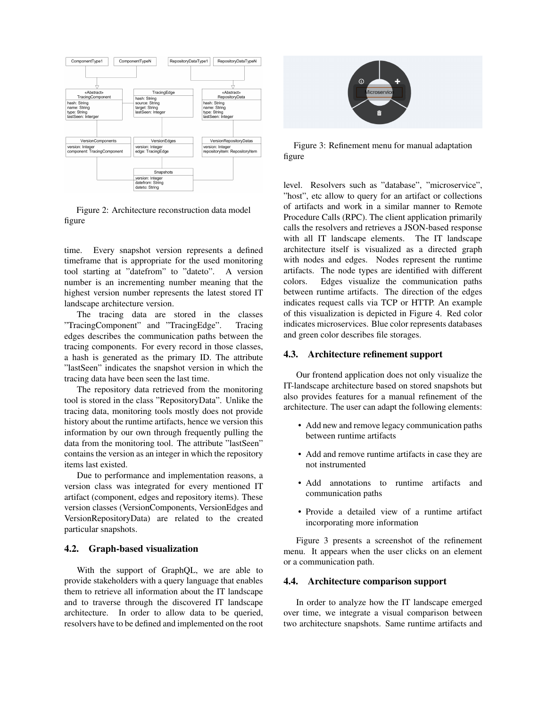

Figure 2: Architecture reconstruction data model figure

time. Every snapshot version represents a defined timeframe that is appropriate for the used monitoring tool starting at "datefrom" to "dateto". A version number is an incrementing number meaning that the highest version number represents the latest stored IT landscape architecture version.

The tracing data are stored in the classes "TracingComponent" and "TracingEdge". Tracing edges describes the communication paths between the tracing components. For every record in those classes, a hash is generated as the primary ID. The attribute "lastSeen" indicates the snapshot version in which the tracing data have been seen the last time.

The repository data retrieved from the monitoring tool is stored in the class "RepositoryData". Unlike the tracing data, monitoring tools mostly does not provide history about the runtime artifacts, hence we version this information by our own through frequently pulling the data from the monitoring tool. The attribute "lastSeen" contains the version as an integer in which the repository items last existed.

Due to performance and implementation reasons, a version class was integrated for every mentioned IT artifact (component, edges and repository items). These version classes (VersionComponents, VersionEdges and VersionRepositoryData) are related to the created particular snapshots.

#### 4.2. Graph-based visualization

With the support of GraphQL, we are able to provide stakeholders with a query language that enables them to retrieve all information about the IT landscape and to traverse through the discovered IT landscape architecture. In order to allow data to be queried, resolvers have to be defined and implemented on the root



Figure 3: Refinement menu for manual adaptation figure

level. Resolvers such as "database", "microservice", "host", etc allow to query for an artifact or collections of artifacts and work in a similar manner to Remote Procedure Calls (RPC). The client application primarily calls the resolvers and retrieves a JSON-based response with all IT landscape elements. The IT landscape architecture itself is visualized as a directed graph with nodes and edges. Nodes represent the runtime artifacts. The node types are identified with different colors. Edges visualize the communication paths between runtime artifacts. The direction of the edges indicates request calls via TCP or HTTP. An example of this visualization is depicted in Figure 4. Red color indicates microservices. Blue color represents databases and green color describes file storages.

#### 4.3. Architecture refinement support

Our frontend application does not only visualize the IT-landscape architecture based on stored snapshots but also provides features for a manual refinement of the architecture. The user can adapt the following elements:

- Add new and remove legacy communication paths between runtime artifacts
- Add and remove runtime artifacts in case they are not instrumented
- Add annotations to runtime artifacts and communication paths
- Provide a detailed view of a runtime artifact incorporating more information

Figure 3 presents a screenshot of the refinement menu. It appears when the user clicks on an element or a communication path.

#### 4.4. Architecture comparison support

In order to analyze how the IT landscape emerged over time, we integrate a visual comparison between two architecture snapshots. Same runtime artifacts and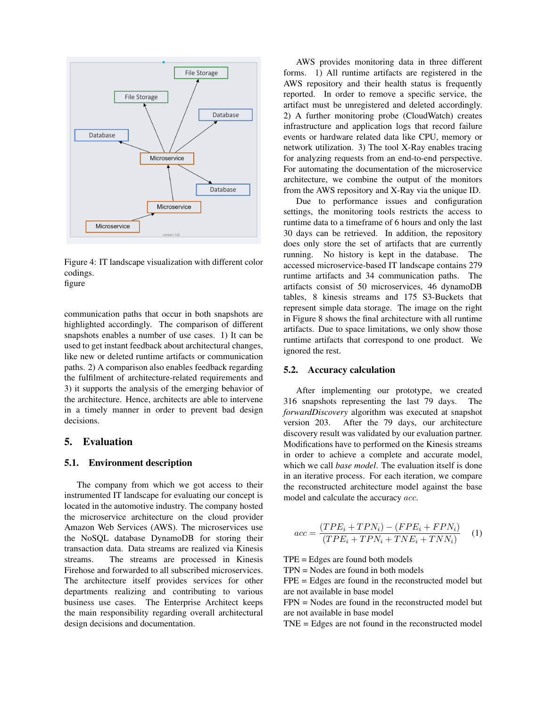

Figure 4: IT landscape visualization with different color codings.

figure

communication paths that occur in both snapshots are highlighted accordingly. The comparison of different snapshots enables a number of use cases. 1) It can be used to get instant feedback about architectural changes, like new or deleted runtime artifacts or communication paths. 2) A comparison also enables feedback regarding the fulfilment of architecture-related requirements and 3) it supports the analysis of the emerging behavior of the architecture. Hence, architects are able to intervene in a timely manner in order to prevent bad design decisions.

# 5. Evaluation

### 5.1. Environment description

The company from which we got access to their instrumented IT landscape for evaluating our concept is located in the automotive industry. The company hosted the microservice architecture on the cloud provider Amazon Web Services (AWS). The microservices use the NoSQL database DynamoDB for storing their transaction data. Data streams are realized via Kinesis streams. The streams are processed in Kinesis Firehose and forwarded to all subscribed microservices. The architecture itself provides services for other departments realizing and contributing to various business use cases. The Enterprise Architect keeps the main responsibility regarding overall architectural design decisions and documentation.

AWS provides monitoring data in three different forms. 1) All runtime artifacts are registered in the AWS repository and their health status is frequently reported. In order to remove a specific service, the artifact must be unregistered and deleted accordingly. 2) A further monitoring probe (CloudWatch) creates infrastructure and application logs that record failure events or hardware related data like CPU, memory or network utilization. 3) The tool X-Ray enables tracing for analyzing requests from an end-to-end perspective. For automating the documentation of the microservice architecture, we combine the output of the monitors from the AWS repository and X-Ray via the unique ID.

Due to performance issues and configuration settings, the monitoring tools restricts the access to runtime data to a timeframe of 6 hours and only the last 30 days can be retrieved. In addition, the repository does only store the set of artifacts that are currently running. No history is kept in the database. The accessed microservice-based IT landscape contains 279 runtime artifacts and 34 communication paths. The artifacts consist of 50 microservices, 46 dynamoDB tables, 8 kinesis streams and 175 S3-Buckets that represent simple data storage. The image on the right in Figure 8 shows the final architecture with all runtime artifacts. Due to space limitations, we only show those runtime artifacts that correspond to one product. We ignored the rest.

#### 5.2. Accuracy calculation

After implementing our prototype, we created 316 snapshots representing the last 79 days. The *forwardDiscovery* algorithm was executed at snapshot version 203. After the 79 days, our architecture discovery result was validated by our evaluation partner. Modifications have to performed on the Kinesis streams in order to achieve a complete and accurate model, which we call *base model*. The evaluation itself is done in an iterative process. For each iteration, we compare the reconstructed architecture model against the base model and calculate the accuracy acc.

$$
acc = \frac{(TPE_i + TPN_i) - (FPE_i + FPN_i)}{(TPE_i + TPN_i + TNE_i + TNN_i)}
$$
 (1)

TPE = Edges are found both models

TPN = Nodes are found in both models

FPE = Edges are found in the reconstructed model but are not available in base model

 $FPN = Nodes$  are found in the reconstructed model but are not available in base model

TNE = Edges are not found in the reconstructed model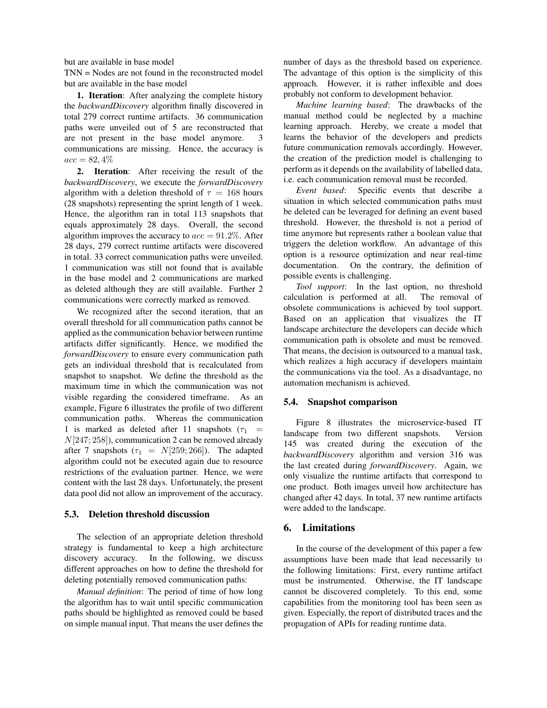but are available in base model

TNN = Nodes are not found in the reconstructed model but are available in the base model

1. Iteration: After analyzing the complete history the *backwardDiscovery* algorithm finally discovered in total 279 correct runtime artifacts. 36 communication paths were unveiled out of 5 are reconstructed that are not present in the base model anymore. 3 communications are missing. Hence, the accuracy is  $acc = 82,4%$ 

2. Iteration: After receiving the result of the *backwardDiscovery*, we execute the *forwardDiscovery* algorithm with a deletion threshold of  $\tau = 168$  hours (28 snapshots) representing the sprint length of 1 week. Hence, the algorithm ran in total 113 snapshots that equals approximately 28 days. Overall, the second algorithm improves the accuracy to  $acc = 91.2\%$ . After 28 days, 279 correct runtime artifacts were discovered in total. 33 correct communication paths were unveiled. 1 communication was still not found that is available in the base model and 2 communications are marked as deleted although they are still available. Further 2 communications were correctly marked as removed.

We recognized after the second iteration, that an overall threshold for all communication paths cannot be applied as the communication behavior between runtime artifacts differ significantly. Hence, we modified the *forwardDiscovery* to ensure every communication path gets an individual threshold that is recalculated from snapshot to snapshot. We define the threshold as the maximum time in which the communication was not visible regarding the considered timeframe. As an example, Figure 6 illustrates the profile of two different communication paths. Whereas the communication 1 is marked as deleted after 11 snapshots ( $\tau_1$  =  $N[247; 258]$ , communication 2 can be removed already after 7 snapshots ( $\tau_1 = N[259; 266]$ ). The adapted algorithm could not be executed again due to resource restrictions of the evaluation partner. Hence, we were content with the last 28 days. Unfortunately, the present data pool did not allow an improvement of the accuracy.

#### 5.3. Deletion threshold discussion

The selection of an appropriate deletion threshold strategy is fundamental to keep a high architecture discovery accuracy. In the following, we discuss different approaches on how to define the threshold for deleting potentially removed communication paths:

*Manual definition*: The period of time of how long the algorithm has to wait until specific communication paths should be highlighted as removed could be based on simple manual input. That means the user defines the

number of days as the threshold based on experience. The advantage of this option is the simplicity of this approach. However, it is rather inflexible and does probably not conform to development behavior.

*Machine learning based*: The drawbacks of the manual method could be neglected by a machine learning approach. Hereby, we create a model that learns the behavior of the developers and predicts future communication removals accordingly. However, the creation of the prediction model is challenging to perform as it depends on the availability of labelled data, i.e. each communication removal must be recorded.

*Event based*: Specific events that describe a situation in which selected communication paths must be deleted can be leveraged for defining an event based threshold. However, the threshold is not a period of time anymore but represents rather a boolean value that triggers the deletion workflow. An advantage of this option is a resource optimization and near real-time documentation. On the contrary, the definition of possible events is challenging.

*Tool support*: In the last option, no threshold calculation is performed at all. The removal of obsolete communications is achieved by tool support. Based on an application that visualizes the IT landscape architecture the developers can decide which communication path is obsolete and must be removed. That means, the decision is outsourced to a manual task, which realizes a high accuracy if developers maintain the communications via the tool. As a disadvantage, no automation mechanism is achieved.

#### 5.4. Snapshot comparison

Figure 8 illustrates the microservice-based IT landscape from two different snapshots. Version 145 was created during the execution of the *backwardDiscovery* algorithm and version 316 was the last created during *forwardDiscovery*. Again, we only visualize the runtime artifacts that correspond to one product. Both images unveil how architecture has changed after 42 days. In total, 37 new runtime artifacts were added to the landscape.

### 6. Limitations

In the course of the development of this paper a few assumptions have been made that lead necessarily to the following limitations: First, every runtime artifact must be instrumented. Otherwise, the IT landscape cannot be discovered completely. To this end, some capabilities from the monitoring tool has been seen as given. Especially, the report of distributed traces and the propagation of APIs for reading runtime data.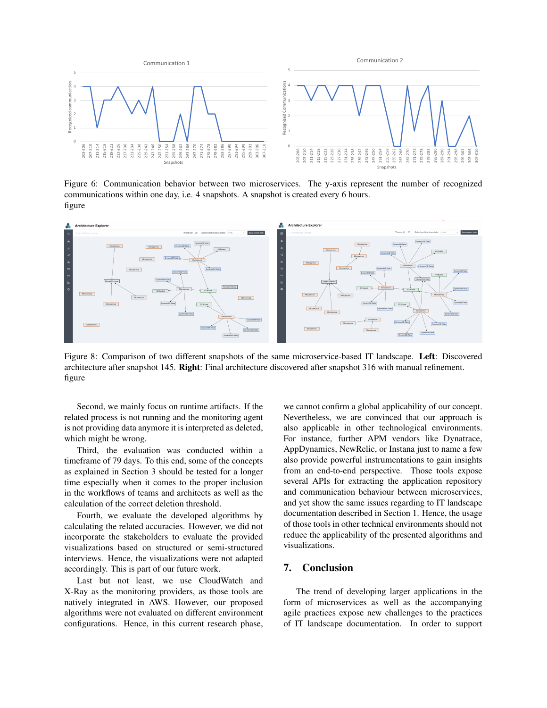

Figure 6: Communication behavior between two microservices. The y-axis represent the number of recognized communications within one day, i.e. 4 snapshots. A snapshot is created every 6 hours. figure



Figure 8: Comparison of two different snapshots of the same microservice-based IT landscape. Left: Discovered architecture after snapshot 145. Right: Final architecture discovered after snapshot 316 with manual refinement. figure

Second, we mainly focus on runtime artifacts. If the related process is not running and the monitoring agent is not providing data anymore it is interpreted as deleted, which might be wrong.

Third, the evaluation was conducted within a timeframe of 79 days. To this end, some of the concepts as explained in Section 3 should be tested for a longer time especially when it comes to the proper inclusion in the workflows of teams and architects as well as the calculation of the correct deletion threshold.

Fourth, we evaluate the developed algorithms by calculating the related accuracies. However, we did not incorporate the stakeholders to evaluate the provided visualizations based on structured or semi-structured interviews. Hence, the visualizations were not adapted accordingly. This is part of our future work.

Last but not least, we use CloudWatch and X-Ray as the monitoring providers, as those tools are natively integrated in AWS. However, our proposed algorithms were not evaluated on different environment configurations. Hence, in this current research phase,

we cannot confirm a global applicability of our concept. Nevertheless, we are convinced that our approach is also applicable in other technological environments. For instance, further APM vendors like Dynatrace, AppDynamics, NewRelic, or Instana just to name a few also provide powerful instrumentations to gain insights from an end-to-end perspective. Those tools expose several APIs for extracting the application repository and communication behaviour between microservices, and yet show the same issues regarding to IT landscape documentation described in Section 1. Hence, the usage of those tools in other technical environments should not reduce the applicability of the presented algorithms and visualizations.

# 7. Conclusion

The trend of developing larger applications in the form of microservices as well as the accompanying agile practices expose new challenges to the practices of IT landscape documentation. In order to support